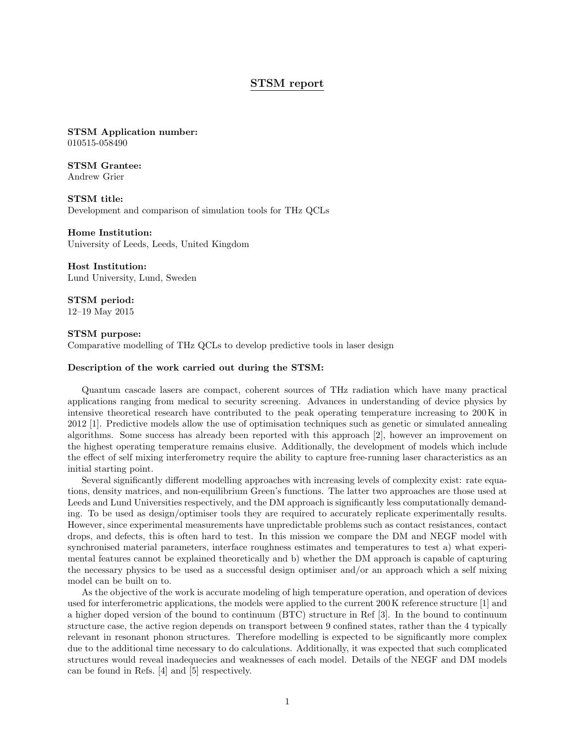## STSM report

STSM Application number: 010515-058490

STSM Grantee: Andrew Grier

STSM title: Development and comparison of simulation tools for THz QCLs

Home Institution: University of Leeds, Leeds, United Kingdom

Host Institution:

Lund University, Lund, Sweden

STSM period: 12–19 May 2015

#### STSM purpose:

Comparative modelling of THz QCLs to develop predictive tools in laser design

#### Description of the work carried out during the STSM:

Quantum cascade lasers are compact, coherent sources of THz radiation which have many practical applications ranging from medical to security screening. Advances in understanding of device physics by intensive theoretical research have contributed to the peak operating temperature increasing to 200 K in 2012 [1]. Predictive models allow the use of optimisation techniques such as genetic or simulated annealing algorithms. Some success has already been reported with this approach [2], however an improvement on the highest operating temperature remains elusive. Additionally, the development of models which include the effect of self mixing interferometry require the ability to capture free-running laser characteristics as an initial starting point.

Several significantly different modelling approaches with increasing levels of complexity exist: rate equations, density matrices, and non-equilibrium Green's functions. The latter two approaches are those used at Leeds and Lund Universities respectively, and the DM approach is significantly less computationally demanding. To be used as design/optimiser tools they are required to accurately replicate experimentally results. However, since experimental measurements have unpredictable problems such as contact resistances, contact drops, and defects, this is often hard to test. In this mission we compare the DM and NEGF model with synchronised material parameters, interface roughness estimates and temperatures to test a) what experimental features cannot be explained theoretically and b) whether the DM approach is capable of capturing the necessary physics to be used as a successful design optimiser and/or an approach which a self mixing model can be built on to.

As the objective of the work is accurate modeling of high temperature operation, and operation of devices used for interferometric applications, the models were applied to the current 200 K reference structure [1] and a higher doped version of the bound to continuum (BTC) structure in Ref [3]. In the bound to continuum structure case, the active region depends on transport between 9 confined states, rather than the 4 typically relevant in resonant phonon structures. Therefore modelling is expected to be significantly more complex due to the additional time necessary to do calculations. Additionally, it was expected that such complicated structures would reveal inadequecies and weaknesses of each model. Details of the NEGF and DM models can be found in Refs. [4] and [5] respectively.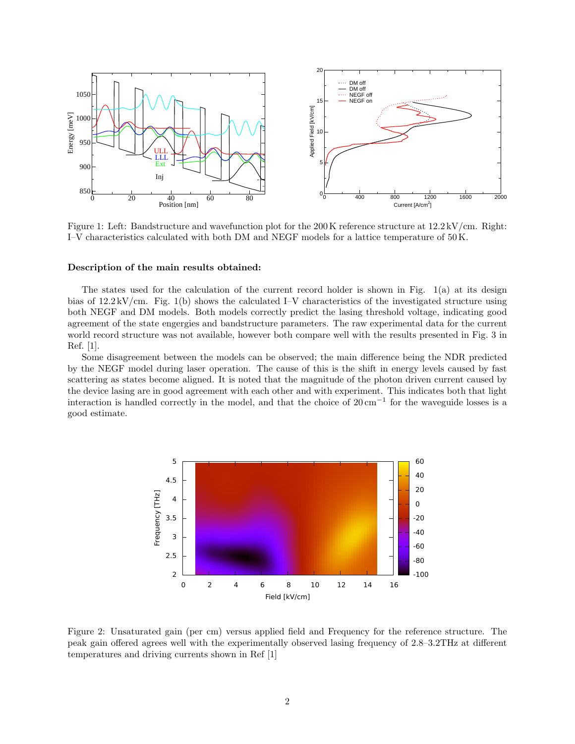

Figure 1: Left: Bandstructure and wavefunction plot for the 200K reference structure at 12.2 kV/cm. Right: I–V characteristics calculated with both DM and NEGF models for a lattice temperature of 50 K.

#### Description of the main results obtained:

The states used for the calculation of the current record holder is shown in Fig. 1(a) at its design bias of 12.2 kV/cm. Fig. 1(b) shows the calculated I–V characteristics of the investigated structure using both NEGF and DM models. Both models correctly predict the lasing threshold voltage, indicating good agreement of the state engergies and bandstructure parameters. The raw experimental data for the current world record structure was not available, however both compare well with the results presented in Fig. 3 in Ref. [1].

Some disagreement between the models can be observed; the main difference being the NDR predicted by the NEGF model during laser operation. The cause of this is the shift in energy levels caused by fast scattering as states become aligned. It is noted that the magnitude of the photon driven current caused by the device lasing are in good agreement with each other and with experiment. This indicates both that light interaction is handled correctly in the model, and that the choice of 20 cm<sup>−</sup><sup>1</sup> for the waveguide losses is a good estimate.



Figure 2: Unsaturated gain (per cm) versus applied field and Frequency for the reference structure. The peak gain offered agrees well with the experimentally observed lasing frequency of 2.8–3.2THz at different temperatures and driving currents shown in Ref [1]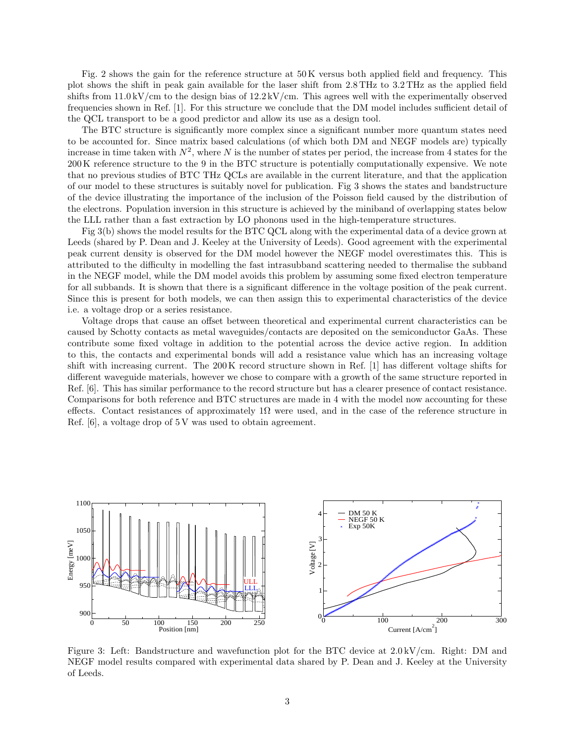Fig. 2 shows the gain for the reference structure at 50 K versus both applied field and frequency. This plot shows the shift in peak gain available for the laser shift from 2.8 THz to 3.2 THz as the applied field shifts from  $11.0 \mathrm{kV/cm}$  to the design bias of  $12.2 \mathrm{kV/cm}$ . This agrees well with the experimentally observed frequencies shown in Ref. [1]. For this structure we conclude that the DM model includes sufficient detail of the QCL transport to be a good predictor and allow its use as a design tool.

The BTC structure is significantly more complex since a significant number more quantum states need to be accounted for. Since matrix based calculations (of which both DM and NEGF models are) typically increase in time taken with  $N^2$ , where N is the number of states per period, the increase from 4 states for the 200 K reference structure to the 9 in the BTC structure is potentially computationally expensive. We note that no previous studies of BTC THz QCLs are available in the current literature, and that the application of our model to these structures is suitably novel for publication. Fig 3 shows the states and bandstructure of the device illustrating the importance of the inclusion of the Poisson field caused by the distribution of the electrons. Population inversion in this structure is achieved by the miniband of overlapping states below the LLL rather than a fast extraction by LO phonons used in the high-temperature structures.

Fig 3(b) shows the model results for the BTC QCL along with the experimental data of a device grown at Leeds (shared by P. Dean and J. Keeley at the University of Leeds). Good agreement with the experimental peak current density is observed for the DM model however the NEGF model overestimates this. This is attributed to the difficulty in modelling the fast intrasubband scattering needed to thermalise the subband in the NEGF model, while the DM model avoids this problem by assuming some fixed electron temperature for all subbands. It is shown that there is a significant difference in the voltage position of the peak current. Since this is present for both models, we can then assign this to experimental characteristics of the device i.e. a voltage drop or a series resistance.

Voltage drops that cause an offset between theoretical and experimental current characteristics can be caused by Schotty contacts as metal waveguides/contacts are deposited on the semiconductor GaAs. These contribute some fixed voltage in addition to the potential across the device active region. In addition to this, the contacts and experimental bonds will add a resistance value which has an increasing voltage shift with increasing current. The 200 K record structure shown in Ref. [1] has different voltage shifts for different waveguide materials, however we chose to compare with a growth of the same structure reported in Ref. [6]. This has similar performance to the record structure but has a clearer presence of contact resistance. Comparisons for both reference and BTC structures are made in 4 with the model now accounting for these effects. Contact resistances of approximately  $1\Omega$  were used, and in the case of the reference structure in Ref. [6], a voltage drop of 5 V was used to obtain agreement.



Figure 3: Left: Bandstructure and wavefunction plot for the BTC device at 2.0 kV/cm. Right: DM and NEGF model results compared with experimental data shared by P. Dean and J. Keeley at the University of Leeds.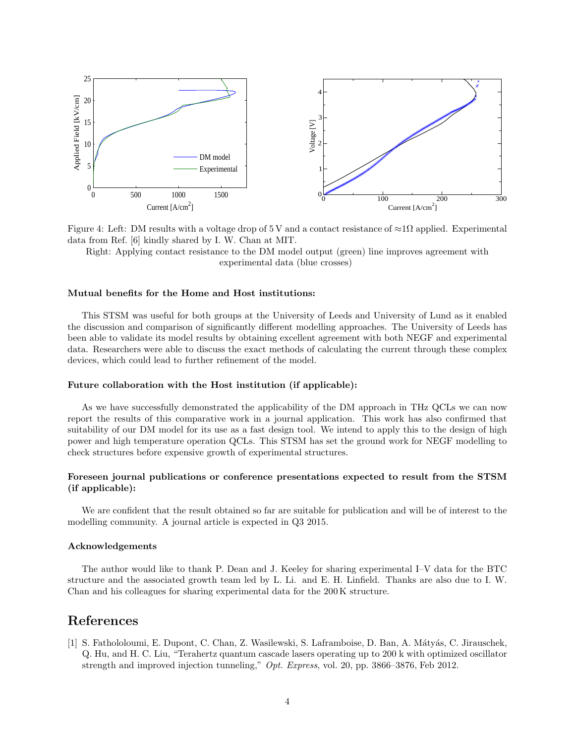

Figure 4: Left: DM results with a voltage drop of 5 V and a contact resistance of  $\approx 1\Omega$  applied. Experimental data from Ref. [6] kindly shared by I. W. Chan at MIT.

Right: Applying contact resistance to the DM model output (green) line improves agreement with experimental data (blue crosses)

#### Mutual benefits for the Home and Host institutions:

This STSM was useful for both groups at the University of Leeds and University of Lund as it enabled the discussion and comparison of significantly different modelling approaches. The University of Leeds has been able to validate its model results by obtaining excellent agreement with both NEGF and experimental data. Researchers were able to discuss the exact methods of calculating the current through these complex devices, which could lead to further refinement of the model.

#### Future collaboration with the Host institution (if applicable):

As we have successfully demonstrated the applicability of the DM approach in THz QCLs we can now report the results of this comparative work in a journal application. This work has also confirmed that suitability of our DM model for its use as a fast design tool. We intend to apply this to the design of high power and high temperature operation QCLs. This STSM has set the ground work for NEGF modelling to check structures before expensive growth of experimental structures.

## Foreseen journal publications or conference presentations expected to result from the STSM (if applicable):

We are confident that the result obtained so far are suitable for publication and will be of interest to the modelling community. A journal article is expected in Q3 2015.

#### Acknowledgements

The author would like to thank P. Dean and J. Keeley for sharing experimental I–V data for the BTC structure and the associated growth team led by L. Li. and E. H. Linfield. Thanks are also due to I. W. Chan and his colleagues for sharing experimental data for the 200 K structure.

# References

[1] S. Fathololoumi, E. Dupont, C. Chan, Z. Wasilewski, S. Laframboise, D. Ban, A. M´aty´as, C. Jirauschek, Q. Hu, and H. C. Liu, "Terahertz quantum cascade lasers operating up to 200 k with optimized oscillator strength and improved injection tunneling," Opt. Express, vol. 20, pp. 3866–3876, Feb 2012.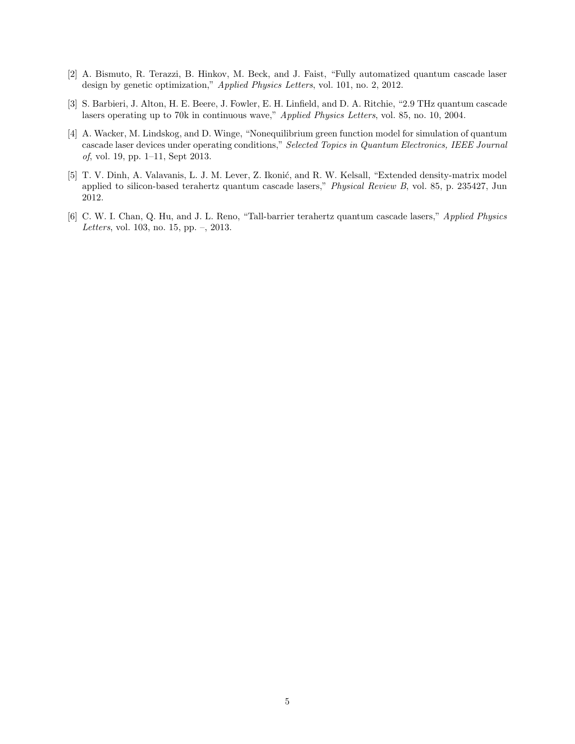- [2] A. Bismuto, R. Terazzi, B. Hinkov, M. Beck, and J. Faist, "Fully automatized quantum cascade laser design by genetic optimization," Applied Physics Letters, vol. 101, no. 2, 2012.
- [3] S. Barbieri, J. Alton, H. E. Beere, J. Fowler, E. H. Linfield, and D. A. Ritchie, "2.9 THz quantum cascade lasers operating up to 70k in continuous wave," Applied Physics Letters, vol. 85, no. 10, 2004.
- [4] A. Wacker, M. Lindskog, and D. Winge, "Nonequilibrium green function model for simulation of quantum cascade laser devices under operating conditions," Selected Topics in Quantum Electronics, IEEE Journal of, vol. 19, pp. 1–11, Sept 2013.
- [5] T. V. Dinh, A. Valavanis, L. J. M. Lever, Z. Ikonić, and R. W. Kelsall, "Extended density-matrix model applied to silicon-based terahertz quantum cascade lasers," Physical Review B, vol. 85, p. 235427, Jun 2012.
- [6] C. W. I. Chan, Q. Hu, and J. L. Reno, "Tall-barrier terahertz quantum cascade lasers," Applied Physics Letters, vol. 103, no. 15, pp. –, 2013.